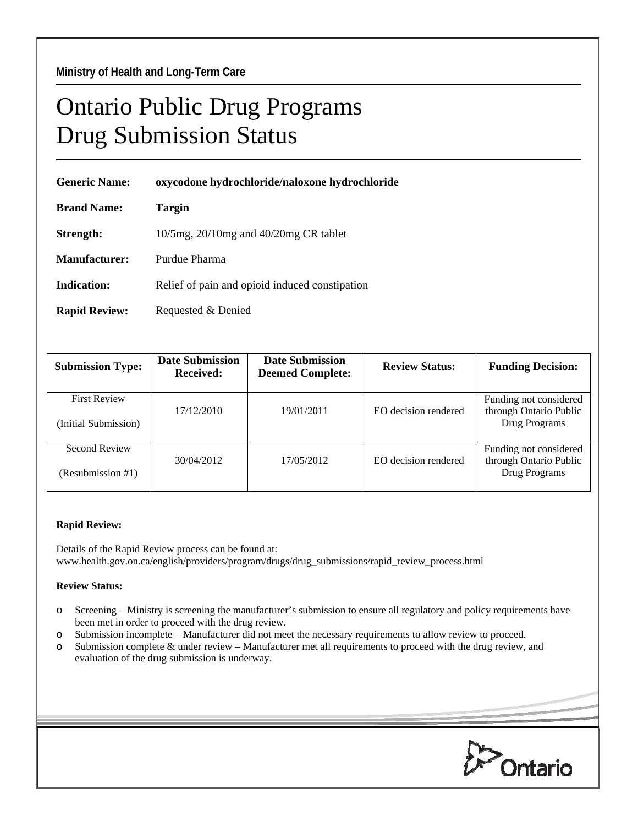## Ontario Public Drug Programs Drug Submission Status

| <b>Generic Name:</b> | oxycodone hydrochloride/naloxone hydrochloride |  |  |
|----------------------|------------------------------------------------|--|--|
| <b>Brand Name:</b>   | Targin                                         |  |  |
| Strength:            | $10/5mg$ , $20/10mg$ and $40/20mg$ CR tablet   |  |  |
| <b>Manufacturer:</b> | Purdue Pharma                                  |  |  |
| Indication:          | Relief of pain and opioid induced constipation |  |  |
| <b>Rapid Review:</b> | Requested & Denied                             |  |  |

| <b>Submission Type:</b>                     | <b>Date Submission</b><br>Received: | <b>Date Submission</b><br><b>Deemed Complete:</b> | <b>Review Status:</b> | <b>Funding Decision:</b>                                          |
|---------------------------------------------|-------------------------------------|---------------------------------------------------|-----------------------|-------------------------------------------------------------------|
| <b>First Review</b><br>(Initial Submission) | 17/12/2010                          | 19/01/2011                                        | EO decision rendered  | Funding not considered<br>through Ontario Public<br>Drug Programs |
| Second Review<br>(Resubmission #1)          | 30/04/2012                          | 17/05/2012                                        | EO decision rendered  | Funding not considered<br>through Ontario Public<br>Drug Programs |

## **Rapid Review:**

Details of the Rapid Review process can be found at: www.health.gov.on.ca/english/providers/program/drugs/drug\_submissions/rapid\_review\_process.html

## **Review Status:**

- o Screening Ministry is screening the manufacturer's submission to ensure all regulatory and policy requirements have been met in order to proceed with the drug review.
- o Submission incomplete Manufacturer did not meet the necessary requirements to allow review to proceed.
- o Submission complete & under review Manufacturer met all requirements to proceed with the drug review, and evaluation of the drug submission is underway.